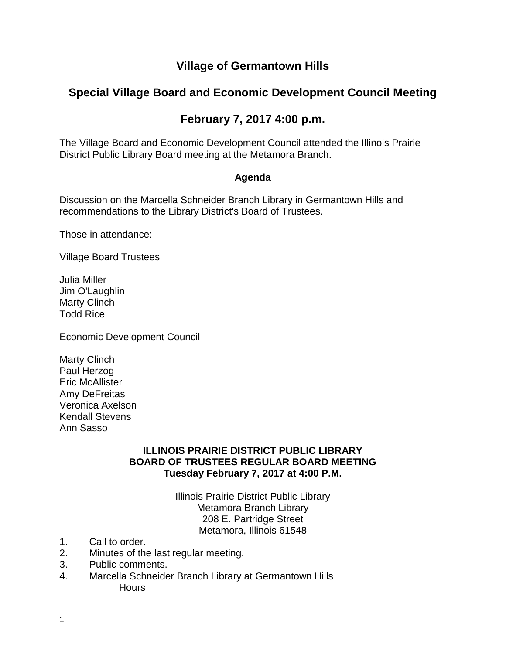### **Village of Germantown Hills**

## **Special Village Board and Economic Development Council Meeting**

# **February 7, 2017 4:00 p.m.**

The Village Board and Economic Development Council attended the Illinois Prairie District Public Library Board meeting at the Metamora Branch.

#### **Agenda**

Discussion on the Marcella Schneider Branch Library in Germantown Hills and recommendations to the Library District's Board of Trustees.

Those in attendance:

Village Board Trustees

Julia Miller Jim O'Laughlin Marty Clinch Todd Rice

Economic Development Council

Marty Clinch Paul Herzog Eric McAllister Amy DeFreitas Veronica Axelson Kendall Stevens Ann Sasso

#### **ILLINOIS PRAIRIE DISTRICT PUBLIC LIBRARY BOARD OF TRUSTEES REGULAR BOARD MEETING Tuesday February 7, 2017 at 4:00 P.M.**

Illinois Prairie District Public Library Metamora Branch Library 208 E. Partridge Street Metamora, Illinois 61548

- 1. Call to order.
- 2. Minutes of the last regular meeting.
- 3. Public comments.
- 4. Marcella Schneider Branch Library at Germantown Hills **Hours**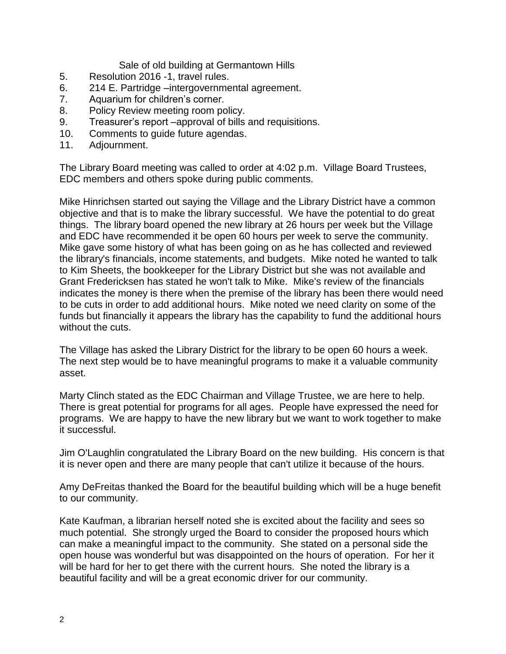Sale of old building at Germantown Hills

- 5. Resolution 2016 -1, travel rules.
- 6. 214 E. Partridge –intergovernmental agreement.
- 7. Aquarium for children's corner.
- 8. Policy Review meeting room policy.
- 9. Treasurer's report –approval of bills and requisitions.
- 10. Comments to guide future agendas.
- 11. Adjournment.

The Library Board meeting was called to order at 4:02 p.m. Village Board Trustees, EDC members and others spoke during public comments.

Mike Hinrichsen started out saying the Village and the Library District have a common objective and that is to make the library successful. We have the potential to do great things. The library board opened the new library at 26 hours per week but the Village and EDC have recommended it be open 60 hours per week to serve the community. Mike gave some history of what has been going on as he has collected and reviewed the library's financials, income statements, and budgets. Mike noted he wanted to talk to Kim Sheets, the bookkeeper for the Library District but she was not available and Grant Fredericksen has stated he won't talk to Mike. Mike's review of the financials indicates the money is there when the premise of the library has been there would need to be cuts in order to add additional hours. Mike noted we need clarity on some of the funds but financially it appears the library has the capability to fund the additional hours without the cuts.

The Village has asked the Library District for the library to be open 60 hours a week. The next step would be to have meaningful programs to make it a valuable community asset.

Marty Clinch stated as the EDC Chairman and Village Trustee, we are here to help. There is great potential for programs for all ages. People have expressed the need for programs. We are happy to have the new library but we want to work together to make it successful.

Jim O'Laughlin congratulated the Library Board on the new building. His concern is that it is never open and there are many people that can't utilize it because of the hours.

Amy DeFreitas thanked the Board for the beautiful building which will be a huge benefit to our community.

Kate Kaufman, a librarian herself noted she is excited about the facility and sees so much potential. She strongly urged the Board to consider the proposed hours which can make a meaningful impact to the community. She stated on a personal side the open house was wonderful but was disappointed on the hours of operation. For her it will be hard for her to get there with the current hours. She noted the library is a beautiful facility and will be a great economic driver for our community.